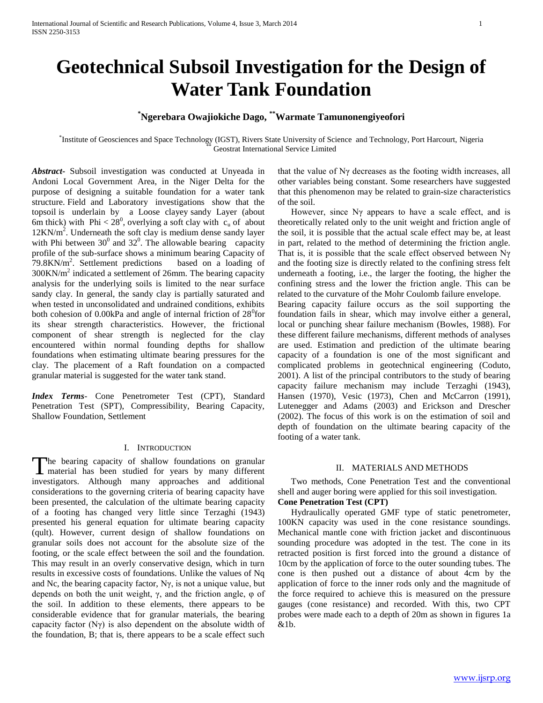# **Geotechnical Subsoil Investigation for the Design of Water Tank Foundation**

# **\*Ngerebara Owajiokiche Dago, \*\*Warmate Tamunonengiyeofori**

\* Institute of Geosciences and Space Technology (IGST), Rivers State University of Science and Technology, Port Harcourt, Nigeria Geostrat International Service Limited

*Abstract***-** Subsoil investigation was conducted at Unyeada in Andoni Local Government Area, in the Niger Delta for the purpose of designing a suitable foundation for a water tank structure. Field and Laboratory investigations show that the topsoil is underlain by a Loose clayey sandy Layer (about 6m thick) with Phi <  $28^0$ , overlying a soft clay with  $c_u$  of about  $12KN/m<sup>2</sup>$ . Underneath the soft clay is medium dense sandy layer with Phi between  $30^0$  and  $32^0$ . The allowable bearing capacity profile of the sub-surface shows a minimum bearing Capacity of  $79.8$ KN/m<sup>2</sup>. Settlement predictions based on a loading of  $300$ KN/m<sup>2</sup> indicated a settlement of 26mm. The bearing capacity analysis for the underlying soils is limited to the near surface sandy clay. In general, the sandy clay is partially saturated and when tested in unconsolidated and undrained conditions, exhibits both cohesion of  $0.00kPa$  and angle of internal friction of  $28<sup>0</sup>$ for its shear strength characteristics. However, the frictional component of shear strength is neglected for the clay encountered within normal founding depths for shallow foundations when estimating ultimate bearing pressures for the clay. The placement of a Raft foundation on a compacted granular material is suggested for the water tank stand.

*Index Terms*- Cone Penetrometer Test (CPT), Standard Penetration Test (SPT), Compressibility, Bearing Capacity, Shallow Foundation, Settlement

## I. INTRODUCTION

The bearing capacity of shallow foundations on granular The bearing capacity of shallow foundations on granular material has been studied for years by many different investigators. Although many approaches and additional considerations to the governing criteria of bearing capacity have been presented, the calculation of the ultimate bearing capacity of a footing has changed very little since Terzaghi (1943) presented his general equation for ultimate bearing capacity (qult). However, current design of shallow foundations on granular soils does not account for the absolute size of the footing, or the scale effect between the soil and the foundation. This may result in an overly conservative design, which in turn results in excessive costs of foundations. Unlike the values of Nq and Nc, the bearing capacity factor,  $N\gamma$ , is not a unique value, but depends on both the unit weight, γ, and the friction angle, φ of the soil. In addition to these elements, there appears to be considerable evidence that for granular materials, the bearing capacity factor (Nγ) is also dependent on the absolute width of the foundation, B; that is, there appears to be a scale effect such

that the value of Nγ decreases as the footing width increases, all other variables being constant. Some researchers have suggested that this phenomenon may be related to grain-size characteristics of the soil.

 However, since Nγ appears to have a scale effect, and is theoretically related only to the unit weight and friction angle of the soil, it is possible that the actual scale effect may be, at least in part, related to the method of determining the friction angle. That is, it is possible that the scale effect observed between Nγ and the footing size is directly related to the confining stress felt underneath a footing, i.e., the larger the footing, the higher the confining stress and the lower the friction angle. This can be related to the curvature of the Mohr Coulomb failure envelope. Bearing capacity failure occurs as the soil supporting the foundation fails in shear, which may involve either a general, local or punching shear failure mechanism (Bowles, 1988). For these different failure mechanisms, different methods of analyses are used. Estimation and prediction of the ultimate bearing capacity of a foundation is one of the most significant and complicated problems in geotechnical engineering (Coduto, 2001). A list of the principal contributors to the study of bearing capacity failure mechanism may include Terzaghi (1943), Hansen (1970), Vesic (1973), Chen and McCarron (1991), Lutenegger and Adams (2003) and Erickson and Drescher (2002). The focus of this work is on the estimation of soil and depth of foundation on the ultimate bearing capacity of the footing of a water tank.

## II. MATERIALS AND METHODS

 Two methods, Cone Penetration Test and the conventional shell and auger boring were applied for this soil investigation. **Cone Penetration Test (CPT)**

 Hydraulically operated GMF type of static penetrometer, 100KN capacity was used in the cone resistance soundings. Mechanical mantle cone with friction jacket and discontinuous sounding procedure was adopted in the test. The cone in its retracted position is first forced into the ground a distance of 10cm by the application of force to the outer sounding tubes. The cone is then pushed out a distance of about 4cm by the application of force to the inner rods only and the magnitude of the force required to achieve this is measured on the pressure gauges (cone resistance) and recorded. With this, two CPT probes were made each to a depth of 20m as shown in figures 1a &1b.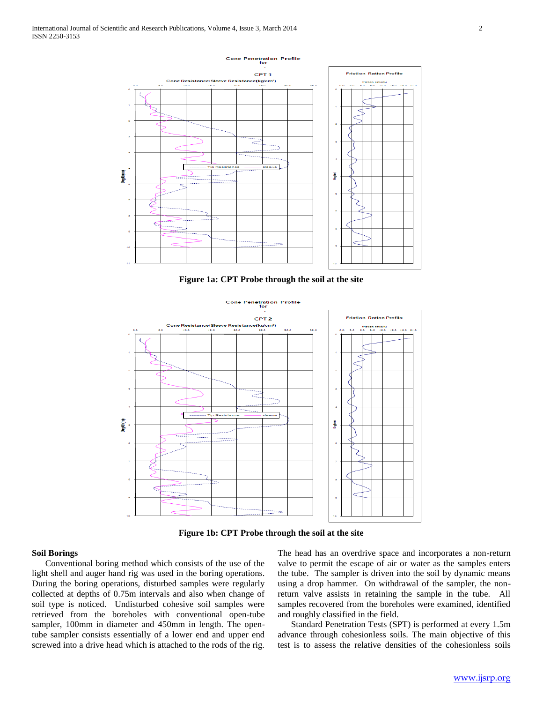

**Figure 1a: CPT Probe through the soil at the site**



**Figure 1b: CPT Probe through the soil at the site**

## **Soil Borings**

 Conventional boring method which consists of the use of the light shell and auger hand rig was used in the boring operations. During the boring operations, disturbed samples were regularly collected at depths of 0.75m intervals and also when change of soil type is noticed. Undisturbed cohesive soil samples were retrieved from the boreholes with conventional open-tube sampler, 100mm in diameter and 450mm in length. The opentube sampler consists essentially of a lower end and upper end screwed into a drive head which is attached to the rods of the rig.

The head has an overdrive space and incorporates a non-return valve to permit the escape of air or water as the samples enters the tube. The sampler is driven into the soil by dynamic means using a drop hammer. On withdrawal of the sampler, the nonreturn valve assists in retaining the sample in the tube. All samples recovered from the boreholes were examined, identified and roughly classified in the field.

 Standard Penetration Tests (SPT) is performed at every 1.5m advance through cohesionless soils. The main objective of this test is to assess the relative densities of the cohesionless soils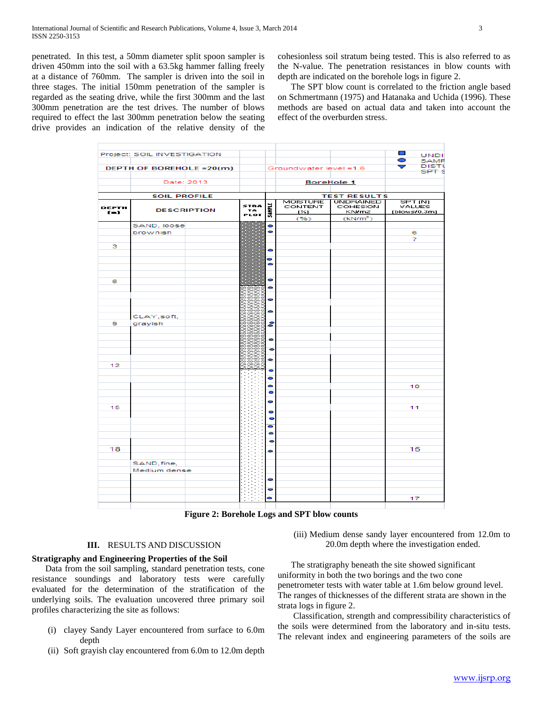penetrated. In this test, a 50mm diameter split spoon sampler is driven 450mm into the soil with a 63.5kg hammer falling freely at a distance of 760mm. The sampler is driven into the soil in three stages. The initial 150mm penetration of the sampler is regarded as the seating drive, while the first 300mm and the last 300mm penetration are the test drives. The number of blows required to effect the last 300mm penetration below the seating drive provides an indication of the relative density of the cohesionless soil stratum being tested. This is also referred to as the N-value. The penetration resistances in blow counts with depth are indicated on the borehole logs in figure 2.

 The SPT blow count is correlated to the friction angle based on Schmertmann (1975) and Hatanaka and Uchida (1996). These methods are based on actual data and taken into account the effect of the overburden stress.

|                | Project: SOIL INVESTIGATION |                     |                |                        |                          | $\Box$<br><b>UNDI</b>          |
|----------------|-----------------------------|---------------------|----------------|------------------------|--------------------------|--------------------------------|
|                |                             |                     |                |                        |                          | 0<br>SAMF<br><b>DIST</b>       |
|                | DEPTH OF BOREHOLE =20(m)    |                     |                | Groundwater level =1.6 |                          | $\blacktriangledown$<br>SPT \$ |
|                | Date: 2013                  |                     |                |                        | <b>BoreHole 1</b>        |                                |
|                | <b>SOIL PROFILE</b>         |                     |                |                        | <b>TEST RESULTS</b>      |                                |
|                |                             |                     |                | <b>MOISTURE</b>        | <b>UNDRAINED</b>         | SPT (N)                        |
| DEPTH<br>$(-)$ | <b>DESCRIPTION</b>          | STRA<br>TA.<br>PLOT | <b>SAMPLE</b>  | CONTENT<br>$(\geq)$    | <b>COHESION</b><br>KN/m2 | <b>VALUES</b><br>(blows/0.3m)  |
|                |                             |                     |                | (96)                   | (kN/m <sup>2</sup> )     |                                |
|                | SAND, loose                 |                     | 0              |                        |                          |                                |
|                | brownish                    |                     | $\bullet$      |                        |                          | 6                              |
|                |                             |                     |                |                        |                          | 7                              |
| з              |                             |                     | 0              |                        |                          |                                |
|                |                             |                     | 0              |                        |                          |                                |
|                |                             |                     | $\bullet$      |                        |                          |                                |
|                |                             |                     |                |                        |                          |                                |
| 6              |                             |                     | 0              |                        |                          |                                |
|                |                             |                     | 0              |                        |                          |                                |
|                |                             |                     |                |                        |                          |                                |
|                |                             |                     | 0              |                        |                          |                                |
|                |                             |                     | 0              |                        |                          |                                |
|                | CLAY, soft,                 |                     |                |                        |                          |                                |
| 9              | grayish                     |                     | 8              |                        |                          |                                |
|                |                             |                     |                |                        |                          |                                |
|                |                             |                     | ۰              |                        |                          |                                |
|                |                             |                     |                |                        |                          |                                |
|                |                             |                     | $\bullet$      |                        |                          |                                |
|                |                             |                     | 0              |                        |                          |                                |
| 12             |                             |                     | 0              |                        |                          |                                |
|                |                             |                     |                |                        |                          |                                |
|                |                             |                     | 0              |                        |                          |                                |
|                |                             |                     | ۰<br>$\bullet$ |                        |                          | 10                             |
|                |                             |                     |                |                        |                          |                                |
|                |                             |                     | 0              |                        |                          |                                |
| 15             |                             |                     | 0              |                        |                          | 11                             |
|                |                             |                     | 0              |                        |                          |                                |
|                |                             |                     | $\bullet$      |                        |                          |                                |
|                |                             |                     | ۰              |                        |                          |                                |
|                |                             |                     | $\bullet$      |                        |                          |                                |
| 18             |                             |                     |                |                        |                          | 15                             |
|                |                             |                     | 0              |                        |                          |                                |
|                | SAND, fine,                 |                     |                |                        |                          |                                |
|                | Medium dense                |                     |                |                        |                          |                                |
|                |                             |                     |                |                        |                          |                                |
|                |                             |                     | 0              |                        |                          |                                |
|                |                             |                     | 0              |                        |                          |                                |
|                |                             |                     | 0              |                        |                          | 17                             |
|                |                             |                     |                |                        |                          |                                |

**Figure 2: Borehole Logs and SPT blow counts**

## **III.** RESULTS AND DISCUSSION

## **Stratigraphy and Engineering Properties of the Soil**

 Data from the soil sampling, standard penetration tests, cone resistance soundings and laboratory tests were carefully evaluated for the determination of the stratification of the underlying soils. The evaluation uncovered three primary soil profiles characterizing the site as follows:

- (i) clayey Sandy Layer encountered from surface to 6.0m depth
- (ii) Soft grayish clay encountered from 6.0m to 12.0m depth

(iii) Medium dense sandy layer encountered from 12.0m to 20.0m depth where the investigation ended.

 The stratigraphy beneath the site showed significant uniformity in both the two borings and the two cone penetrometer tests with water table at 1.6m below ground level. The ranges of thicknesses of the different strata are shown in the strata logs in figure 2.

 Classification, strength and compressibility characteristics of the soils were determined from the laboratory and in-situ tests. The relevant index and engineering parameters of the soils are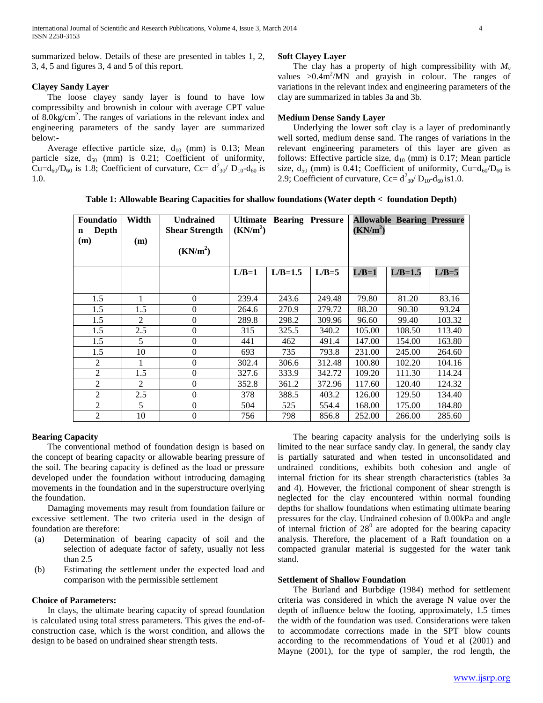summarized below. Details of these are presented in tables 1, 2, 3, 4, 5 and figures 3, 4 and 5 of this report.

## **Clayey Sandy Layer**

 The loose clayey sandy layer is found to have low compressibilty and brownish in colour with average CPT value of  $8.0 \text{kg/cm}^2$ . The ranges of variations in the relevant index and engineering parameters of the sandy layer are summarized below:-

Average effective particle size,  $d_{10}$  (mm) is 0.13; Mean particle size,  $d_{50}$  (mm) is 0.21; Coefficient of uniformity, Cu=d<sub>60</sub>/D<sub>60</sub> is 1.8; Coefficient of curvature, Cc=  $d_{30}^2/D_{10}$ -d<sub>60</sub> is 1.0.

#### **Soft Clayey Layer**

The clay has a property of high compressibility with  $M_{\nu}$ values  $>0.4$ m<sup>2</sup>/MN and grayish in colour. The ranges of variations in the relevant index and engineering parameters of the clay are summarized in tables 3a and 3b.

## **Medium Dense Sandy Layer**

 Underlying the lower soft clay is a layer of predominantly well sorted, medium dense sand. The ranges of variations in the relevant engineering parameters of this layer are given as follows: Effective particle size,  $d_{10}$  (mm) is 0.17; Mean particle size,  $d_{50}$  (mm) is 0.41; Coefficient of uniformity, Cu= $d_{60}/D_{60}$  is 2.9; Coefficient of curvature, Cc=  $d_{30}^2/D_{10}$ - $d_{60}$  is 1.0.

**Table 1: Allowable Bearing Capacities for shallow foundations (Water depth < foundation Depth)**

| <b>Foundatio</b><br>Depth<br>$\mathbf n$<br>(m) | Width<br>(m) | <b>Undrained</b><br><b>Shear Strength</b><br>(KN/m <sup>2</sup> ) | (KN/m <sup>2</sup> ) | <b>Ultimate Bearing Pressure</b> |         | (KN/m <sup>2</sup> ) | <b>Allowable Bearing Pressure</b> |         |
|-------------------------------------------------|--------------|-------------------------------------------------------------------|----------------------|----------------------------------|---------|----------------------|-----------------------------------|---------|
|                                                 |              |                                                                   | $L/B=1$              | $L/B=1.5$                        | $L/B=5$ | $L/B=1$              | $L/B=1.5$                         | $L/B=5$ |
| 1.5                                             |              | $\mathbf{0}$                                                      | 239.4                | 243.6                            | 249.48  | 79.80                | 81.20                             | 83.16   |
| 1.5                                             | 1.5          | $\theta$                                                          | 264.6                | 270.9                            | 279.72  | 88.20                | 90.30                             | 93.24   |
| 1.5                                             | 2            | $\Omega$                                                          | 289.8                | 298.2                            | 309.96  | 96.60                | 99.40                             | 103.32  |
| 1.5                                             | 2.5          | $\Omega$                                                          | 315                  | 325.5                            | 340.2   | 105.00               | 108.50                            | 113.40  |
| 1.5                                             | 5            | $\overline{0}$                                                    | 441                  | 462                              | 491.4   | 147.00               | 154.00                            | 163.80  |
| 1.5                                             | 10           | $\Omega$                                                          | 693                  | 735                              | 793.8   | 231.00               | 245.00                            | 264.60  |
| 2                                               |              | $\Omega$                                                          | 302.4                | 306.6                            | 312.48  | 100.80               | 102.20                            | 104.16  |
| $\overline{2}$                                  | 1.5          | $\Omega$                                                          | 327.6                | 333.9                            | 342.72  | 109.20               | 111.30                            | 114.24  |
| 2                                               | 2            | $\Omega$                                                          | 352.8                | 361.2                            | 372.96  | 117.60               | 120.40                            | 124.32  |
| $\overline{2}$                                  | 2.5          | $\overline{0}$                                                    | 378                  | 388.5                            | 403.2   | 126.00               | 129.50                            | 134.40  |
| $\overline{2}$                                  | 5            | $\overline{0}$                                                    | 504                  | 525                              | 554.4   | 168.00               | 175.00                            | 184.80  |
| $\overline{2}$                                  | 10           | $\overline{0}$                                                    | 756                  | 798                              | 856.8   | 252.00               | 266.00                            | 285.60  |

#### **Bearing Capacity**

 The conventional method of foundation design is based on the concept of bearing capacity or allowable bearing pressure of the soil. The bearing capacity is defined as the load or pressure developed under the foundation without introducing damaging movements in the foundation and in the superstructure overlying the foundation.

 Damaging movements may result from foundation failure or excessive settlement. The two criteria used in the design of foundation are therefore:

- (a) Determination of bearing capacity of soil and the selection of adequate factor of safety, usually not less than 2.5
- (b) Estimating the settlement under the expected load and comparison with the permissible settlement

## **Choice of Parameters:**

 In clays, the ultimate bearing capacity of spread foundation is calculated using total stress parameters. This gives the end-ofconstruction case, which is the worst condition, and allows the design to be based on undrained shear strength tests.

 The bearing capacity analysis for the underlying soils is limited to the near surface sandy clay. In general, the sandy clay is partially saturated and when tested in unconsolidated and undrained conditions, exhibits both cohesion and angle of internal friction for its shear strength characteristics (tables 3a and 4). However, the frictional component of shear strength is neglected for the clay encountered within normal founding depths for shallow foundations when estimating ultimate bearing pressures for the clay. Undrained cohesion of 0.00kPa and angle of internal friction of  $28^0$  are adopted for the bearing capacity analysis. Therefore, the placement of a Raft foundation on a compacted granular material is suggested for the water tank stand.

## **Settlement of Shallow Foundation**

 The Burland and Burbdige (1984) method for settlement criteria was considered in which the average N value over the depth of influence below the footing, approximately, 1.5 times the width of the foundation was used. Considerations were taken to accommodate corrections made in the SPT blow counts according to the recommendations of Youd et al (2001) and Mayne (2001), for the type of sampler, the rod length, the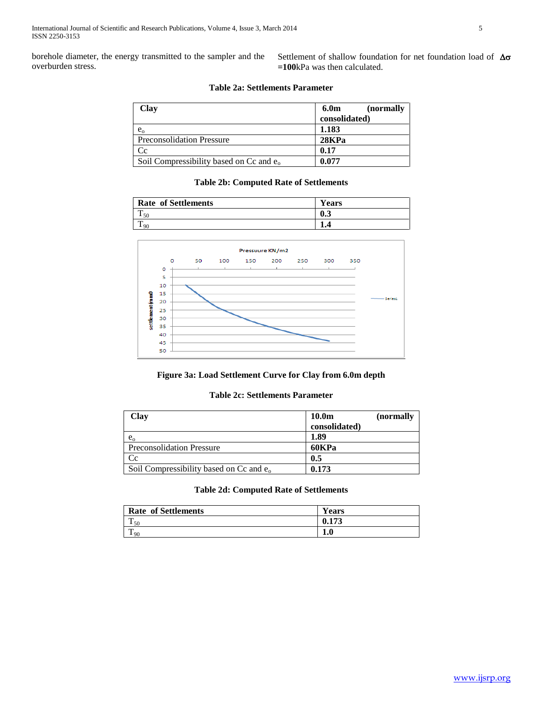borehole diameter, the energy transmitted to the sampler and the overburden stress.

Settlement of shallow foundation for net foundation load of  $\Delta\sigma$ **=100**kPa was then calculated.

# **Table 2a: Settlements Parameter**

| Clay                                       | (normally)<br>6.0m |
|--------------------------------------------|--------------------|
|                                            | consolidated)      |
| $e_{\rm o}$                                | 1.183              |
| <b>Preconsolidation Pressure</b>           | 28KPa              |
| Cc                                         | 0.17               |
| Soil Compressibility based on Cc and $e_0$ | 0.077              |

## **Table 2b: Computed Rate of Settlements**

| <b>Rate of Settlements</b> | T.<br>Years |
|----------------------------|-------------|
| 50                         | 0.3         |
| m                          |             |



## **Figure 3a: Load Settlement Curve for Clay from 6.0m depth**

# **Table 2c: Settlements Parameter**

| Clay                                       | 10.0 <sub>m</sub> | (normally |
|--------------------------------------------|-------------------|-----------|
|                                            | consolidated)     |           |
| $e_{\rm o}$                                | 1.89              |           |
| <b>Preconsolidation Pressure</b>           | 60KPa             |           |
| Cc                                         | 0.5               |           |
| Soil Compressibility based on Cc and $e_0$ | 0.173             |           |

## **Table 2d: Computed Rate of Settlements**

| <b>Rate of Settlements</b> | <b>Years</b> |
|----------------------------|--------------|
| m<br>50                    | 0.173        |
| $\sim$<br>90               | £<br>1.U     |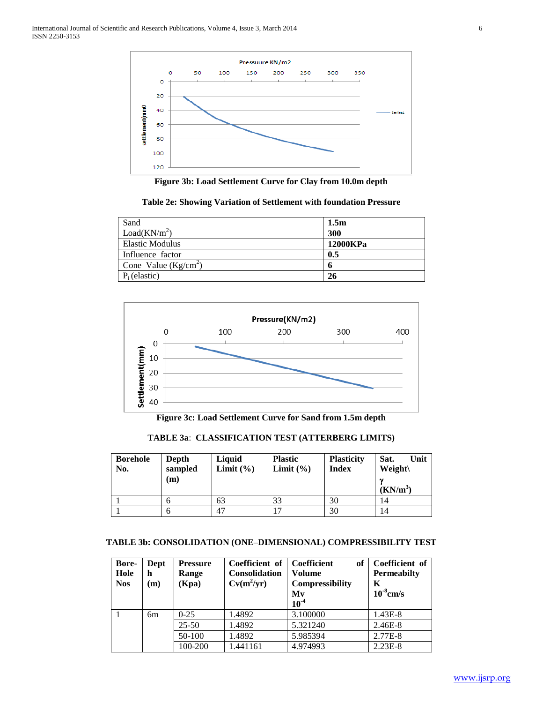

**Figure 3b: Load Settlement Curve for Clay from 10.0m depth**

**Table 2e: Showing Variation of Settlement with foundation Pressure**

| Sand                     | 1.5m     |
|--------------------------|----------|
| Load(KN/m <sup>2</sup> ) | 300      |
| <b>Elastic Modulus</b>   | 12000KPa |
| Influence factor         | 0.5      |
| Cone Value $(Kg/cm2)$    |          |
| $P_i$ (elastic)          | 26       |



**Figure 3c: Load Settlement Curve for Sand from 1.5m depth**

**TABLE 3a**: **CLASSIFICATION TEST (ATTERBERG LIMITS)**

| <b>Borehole</b><br>No. | Depth<br>sampled<br>$\mathbf{(m)}$ | Liquid<br>Limit $(\% )$ | <b>Plastic</b><br>Limit $(\% )$ | <b>Plasticity</b><br><b>Index</b> | Unit<br>Sat.<br><b>Weight</b><br>$(KN/m^3)$ |
|------------------------|------------------------------------|-------------------------|---------------------------------|-----------------------------------|---------------------------------------------|
|                        |                                    | 63                      | 33                              | 30                                | 14                                          |
|                        |                                    | 47                      |                                 | 30                                | 14                                          |

# **TABLE 3b: CONSOLIDATION (ONE–DIMENSIONAL) COMPRESSIBILITY TEST**

| Bore-<br>Hole<br><b>Nos</b> | Dept<br>h<br>(m) | <b>Pressure</b><br>Range<br>(Kpa) | Coefficient of<br>Consolidation<br>$Cv(m^2/yr)$ | <b>Coefficient</b><br>of<br>Volume<br><b>Compressibility</b><br>Mv<br>$10-4$ | Coefficient of<br><b>Permeabilty</b><br>K<br>$10^{-8}$ cm/s |
|-----------------------------|------------------|-----------------------------------|-------------------------------------------------|------------------------------------------------------------------------------|-------------------------------------------------------------|
|                             | 6 <sub>m</sub>   | $0-25$                            | 1.4892                                          | 3.100000                                                                     | 1.43E-8                                                     |
|                             |                  | $25 - 50$                         | 1.4892                                          | 5.321240                                                                     | 2.46E-8                                                     |
|                             |                  | 50-100                            | 1.4892                                          | 5.985394                                                                     | 2.77E-8                                                     |
|                             |                  | 100-200                           | 1.441161                                        | 4.974993                                                                     | $2.23E-8$                                                   |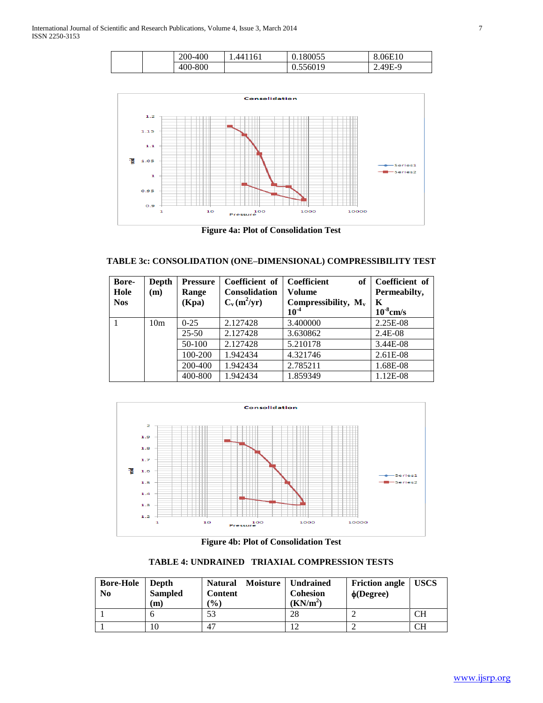|  | 0.400<br>ാറ്റ | .441161 | 0.180055 | 8.06E10 |
|--|---------------|---------|----------|---------|
|  | 400-800       |         | 0.556019 | $49F-9$ |



**Figure 4a: Plot of Consolidation Test**

# **TABLE 3c: CONSOLIDATION (ONE–DIMENSIONAL) COMPRESSIBILITY TEST**

| Bore-<br>Hole<br><b>Nos</b> | Depth<br>(m)    | <b>Pressure</b><br>Range<br>(Kpa) | Coefficient of<br><b>Consolidation</b><br>$C_v(m^2/yr)$ | <b>Coefficient</b><br>of<br>Volume<br>Compressibility, $M_v$<br>$10^{-4}$ | Coefficient of<br>Permeabilty,<br>K<br>$10^{-8}$ cm/s |
|-----------------------------|-----------------|-----------------------------------|---------------------------------------------------------|---------------------------------------------------------------------------|-------------------------------------------------------|
|                             | 10 <sub>m</sub> | $0-25$                            | 2.127428                                                | 3.400000                                                                  | 2.25E-08                                              |
|                             |                 | $25 - 50$                         | 2.127428                                                | 3.630862                                                                  | 2.4E-08                                               |
|                             |                 | 50-100                            | 2.127428                                                | 5.210178                                                                  | 3.44E-08                                              |
|                             |                 | 100-200                           | 1.942434                                                | 4.321746                                                                  | 2.61E-08                                              |
|                             |                 | 200-400                           | 1.942434                                                | 2.785211                                                                  | 1.68E-08                                              |
|                             |                 | 400-800                           | 1.942434                                                | 1.859349                                                                  | 1.12E-08                                              |



**Figure 4b: Plot of Consolidation Test**

**TABLE 4: UNDRAINED TRIAXIAL COMPRESSION TESTS**

| <b>Bore-Hole</b><br>N <sub>0</sub> | Depth<br><b>Sampled</b><br>m | Moisture  <br><b>Natural</b><br><b>Content</b><br>$\frac{9}{0}$ | <b>Undrained</b><br><b>Cohesion</b><br>(KN/m <sup>2</sup> ) | <b>Friction angle</b><br>$\phi$ (Degree) | <b>USCS</b> |
|------------------------------------|------------------------------|-----------------------------------------------------------------|-------------------------------------------------------------|------------------------------------------|-------------|
|                                    |                              | 53                                                              | 28                                                          |                                          | CН          |
|                                    |                              | 47                                                              | 12                                                          |                                          | CН          |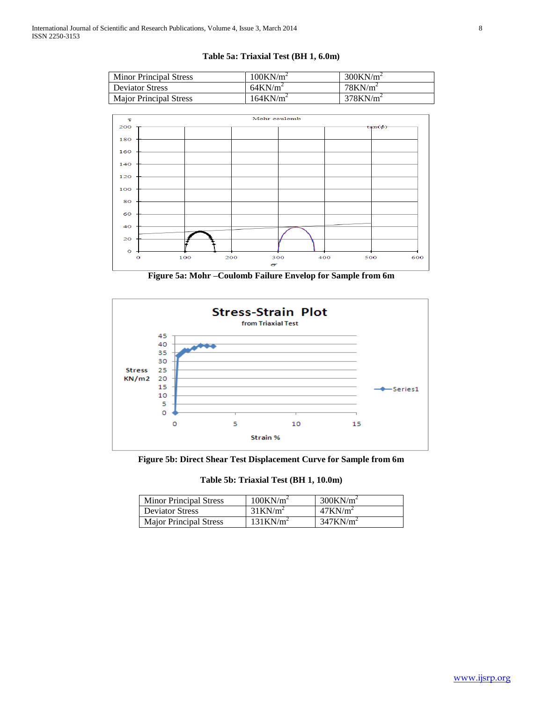# **Table 5a: Triaxial Test (BH 1, 6.0m)**

| <b>Minor Principal Stress</b> | $100$ KN/m <sup>2</sup> | $300$ KN/m <sup>2</sup> |
|-------------------------------|-------------------------|-------------------------|
| <b>Deviator Stress</b>        | $64$ KN/m <sup>2</sup>  | $78$ KN/m <sup>2</sup>  |
| <b>Major Principal Stress</b> | $164$ KN/m <sup>2</sup> | $378$ KN/m <sup>2</sup> |



**Figure 5a: Mohr –Coulomb Failure Envelop for Sample from 6m**



**Figure 5b: Direct Shear Test Displacement Curve for Sample from 6m**

**Table 5b: Triaxial Test (BH 1, 10.0m)**

| <b>Minor Principal Stress</b> | $100$ KN/m <sup>2</sup> | $300$ KN/m <sup>2</sup> |
|-------------------------------|-------------------------|-------------------------|
| <b>Deviator Stress</b>        | $31$ KN/m <sup>2</sup>  | $47$ KN/m <sup>2</sup>  |
| <b>Major Principal Stress</b> | $131$ KN/m <sup>2</sup> | 347KN/m <sup>2</sup>    |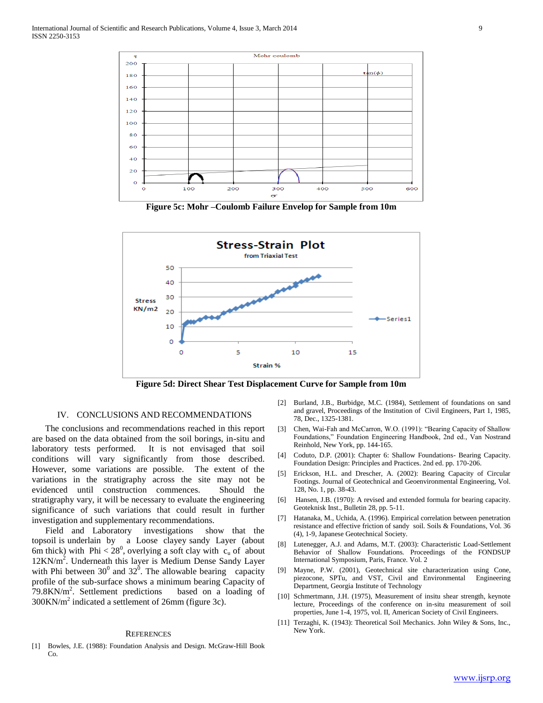

**Figure 5c: Mohr –Coulomb Failure Envelop for Sample from 10m**



**Figure 5d: Direct Shear Test Displacement Curve for Sample from 10m**

## IV. CONCLUSIONS AND RECOMMENDATIONS

 The conclusions and recommendations reached in this report are based on the data obtained from the soil borings, in-situ and laboratory tests performed. It is not envisaged that soil conditions will vary significantly from those described. However, some variations are possible. The extent of the variations in the stratigraphy across the site may not be evidenced until construction commences. Should the stratigraphy vary, it will be necessary to evaluate the engineering significance of such variations that could result in further investigation and supplementary recommendations.

 Field and Laboratory investigations show that the topsoil is underlain by a Loose clayey sandy Layer (about 6m thick) with Phi <  $28^0$ , overlying a soft clay with  $c_u$  of about 12KN/m<sup>2</sup>. Underneath this layer is Medium Dense Sandy Layer with Phi between  $30^0$  and  $32^0$ . The allowable bearing capacity profile of the sub-surface shows a minimum bearing Capacity of  $79.8 \text{KN/m}^2$ . Settlement predictions based on a loading of  $300$ KN/m<sup>2</sup> indicated a settlement of 26mm (figure 3c).

#### **REFERENCES**

[1] Bowles, J.E. (1988): Foundation Analysis and Design. McGraw-Hill Book Co.

- [2] Burland, J.B., Burbidge, M.C. (1984), Settlement of foundations on sand and gravel, Proceedings of the Institution of Civil Engineers, Part 1, 1985, 78, Dec., 1325-1381.
- [3] Chen, Wai-Fah and McCarron, W.O. (1991): "Bearing Capacity of Shallow Foundations," Foundation Engineering Handbook, 2nd ed., Van Nostrand Reinhold, New York, pp. 144-165.
- [4] Coduto, D.P. (2001): Chapter 6: Shallow Foundations- Bearing Capacity. Foundation Design: Principles and Practices. 2nd ed. pp. 170-206.
- [5] Erickson, H.L. and Drescher, A. (2002): Bearing Capacity of Circular Footings. Journal of Geotechnical and Geoenvironmental Engineering, Vol. 128, No. 1, pp. 38-43.
- [6] Hansen, J.B. (1970): A revised and extended formula for bearing capacity. Geoteknisk Inst., Bulletin 28, pp. 5-11.
- [7] Hatanaka, M., Uchida, A. (1996). Empirical correlation between penetration resistance and effective friction of sandy soil. Soils & Foundations, Vol. 36 (4), 1-9, Japanese Geotechnical Society.
- [8] Lutenegger, A.J. and Adams, M.T. (2003): Characteristic Load-Settlement Behavior of Shallow Foundations. Proceedings of the FONDSUP International Symposium, Paris, France. Vol. 2
- [9] Mayne, P.W. (2001), Geotechnical site characterization using Cone, piezocone, SPTu, and VST, Civil and Environmental Engineering Department, Georgia Institute of Technology
- [10] Schmertmann, J.H. (1975), Measurement of insitu shear strength, keynote lecture, Proceedings of the conference on in-situ measurement of soil properties, June 1-4, 1975, vol. II, American Society of Civil Engineers.
- [11] Terzaghi, K. (1943): Theoretical Soil Mechanics. John Wiley & Sons, Inc., New York.